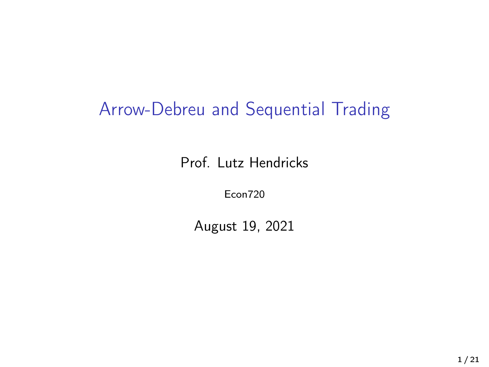## Arrow-Debreu and Sequential Trading

Prof. Lutz Hendricks

Econ720

August 19, 2021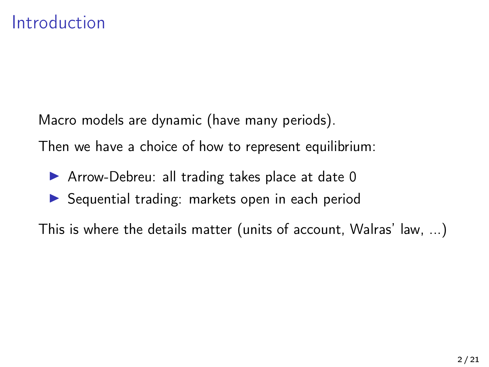Macro models are dynamic (have many periods).

Then we have a choice of how to represent equilibrium:

- $\triangleright$  Arrow-Debreu: all trading takes place at date 0
- $\triangleright$  Sequential trading: markets open in each period

This is where the details matter (units of account, Walras' law, ...)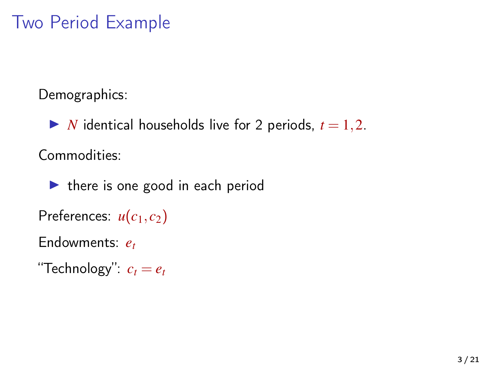## Two Period Example

Demographics:

 $\triangleright$  *N* identical households live for 2 periods,  $t = 1, 2$ .

Commodities:

 $\blacktriangleright$  there is one good in each period

Preferences:  $u(c_1, c_2)$ 

Endowments: *e<sup>t</sup>*

"Technology":  $c_t = e_t$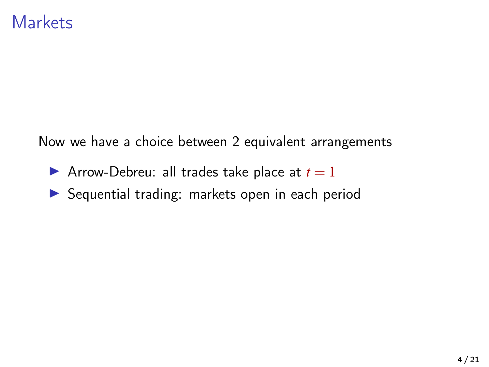Now we have a choice between 2 equivalent arrangements

- **I** Arrow-Debreu: all trades take place at  $t = 1$
- **In Sequential trading: markets open in each period**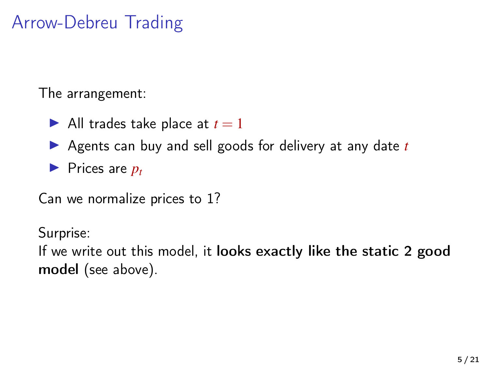## Arrow-Debreu Trading

The arrangement:

- $\blacktriangleright$  All trades take place at  $t = 1$
- ▶ Agents can buy and sell goods for delivery at any date *t*
- $\blacktriangleright$  Prices are  $p_t$

Can we normalize prices to 1?

Surprise:

If we write out this model, it looks exactly like the static 2 good model (see above).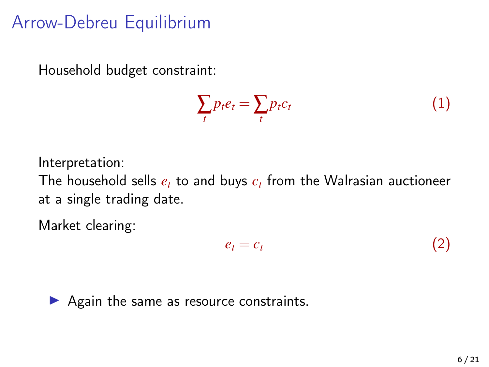## Arrow-Debreu Equilibrium

Household budget constraint:

$$
\sum_t p_t e_t = \sum_t p_t c_t \tag{1}
$$

Interpretation:

The household sells *e<sup>t</sup>* to and buys *c<sup>t</sup>* from the Walrasian auctioneer at a single trading date.

Market clearing:

$$
e_t = c_t \tag{2}
$$

 $\blacktriangleright$  Again the same as resource constraints.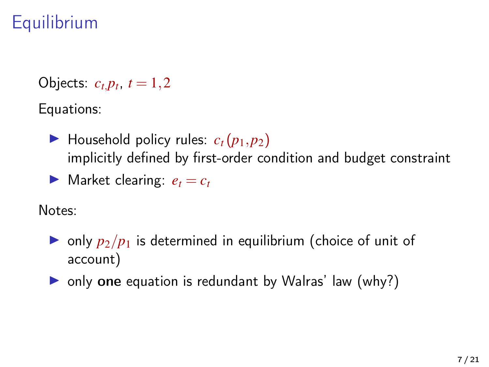# **Equilibrium**

Objects:  $c_{t,}p_{t}, t = 1,2$ 

Equations:

- $\blacktriangleright$  Household policy rules:  $c_t(p_1, p_2)$ implicitly defined by first-order condition and budget constraint
- **If** Market clearing:  $e_t = c_t$

Notes:

- $\triangleright$  only  $p_2/p_1$  is determined in equilibrium (choice of unit of account)
- $\triangleright$  only one equation is redundant by Walras' law (why?)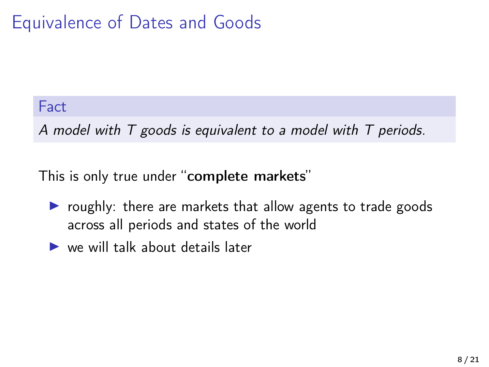## Equivalence of Dates and Goods

#### Fact

A model with T goods is equivalent to a model with T periods.

This is only true under "complete markets"

- $\triangleright$  roughly: there are markets that allow agents to trade goods across all periods and states of the world
- $\blacktriangleright$  we will talk about details later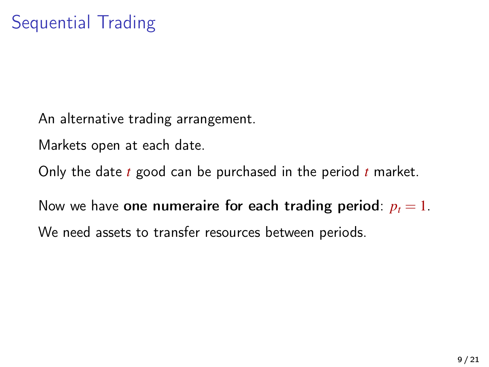An alternative trading arrangement.

Markets open at each date.

Only the date *t* good can be purchased in the period *t* market.

Now we have one numeraire for each trading period:  $p_t = 1$ . We need assets to transfer resources between periods.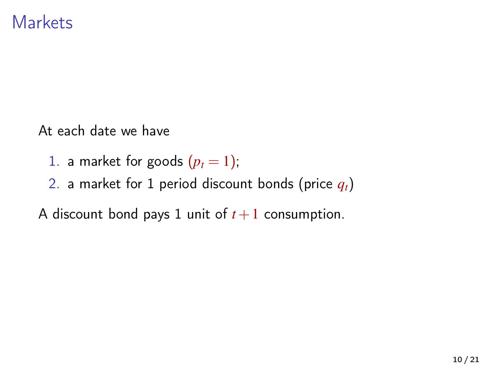At each date we have

- 1. a market for goods  $(p_t = 1)$ ;
- 2. a market for 1 period discount bonds (price *qt*)

A discount bond pays 1 unit of  $t + 1$  consumption.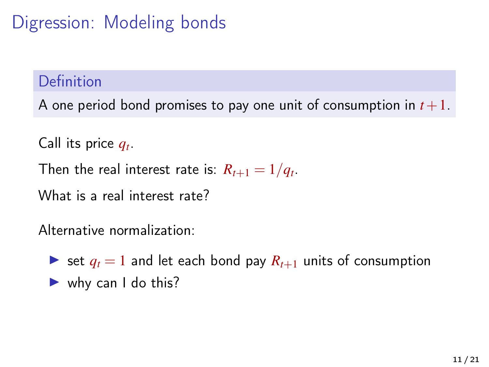Digression: Modeling bonds

### Definition

A one period bond promises to pay one unit of consumption in  $t+1$ .

Call its price *q<sup>t</sup>* .

Then the real interest rate is:  $R_{t+1} = 1/q_t$ .

What is a real interest rate?

Alternative normalization:

 $\triangleright$  set  $q_t = 1$  and let each bond pay  $R_{t+1}$  units of consumption  $\blacktriangleright$  why can I do this?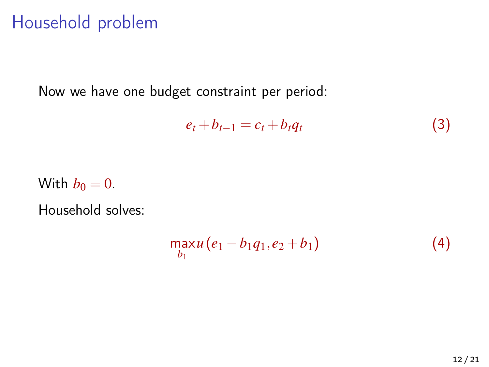## Household problem

Now we have one budget constraint per period:

$$
e_t + b_{t-1} = c_t + b_t q_t \tag{3}
$$

With  $b_0 = 0$ .

Household solves:

$$
\max_{b_1} u(e_1 - b_1 q_1, e_2 + b_1) \tag{4}
$$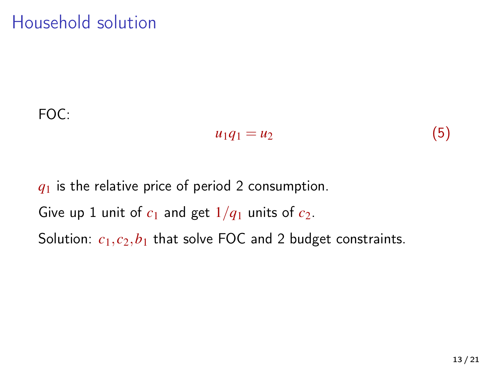## Household solution

### FOC:

$$
u_1q_1=u_2\tag{5}
$$

# *q*<sup>1</sup> is the relative price of period 2 consumption. Give up 1 unit of  $c_1$  and get  $1/q_1$  units of  $c_2$ . Solution:  $c_1$ ,  $c_2$ ,  $b_1$  that solve FOC and 2 budget constraints.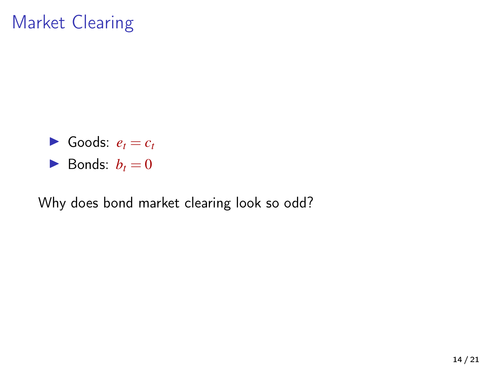## Market Clearing

 $\blacktriangleright$  Goods:  $e_t = c_t$  $\blacktriangleright$  Bonds:  $b_t = 0$ 

Why does bond market clearing look so odd?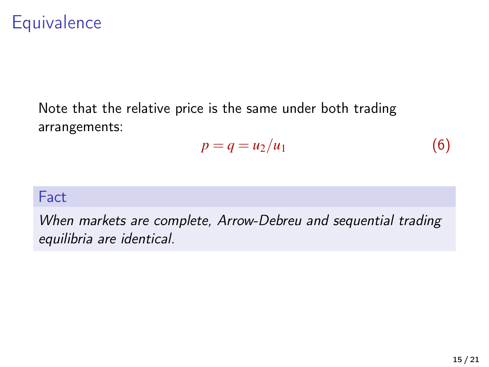## **Equivalence**

Note that the relative price is the same under both trading arrangements:

$$
p = q = u_2/u_1 \tag{6}
$$

#### **Fact**

When markets are complete, Arrow-Debreu and sequential trading equilibria are identical.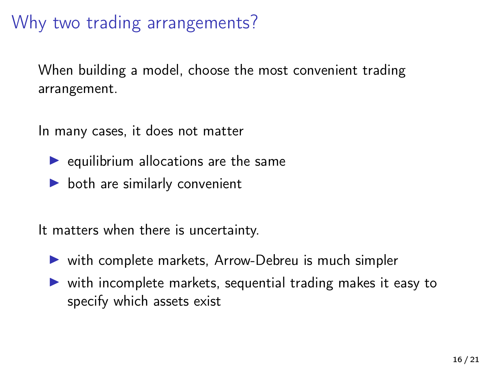## Why two trading arrangements?

When building a model, choose the most convenient trading arrangement.

In many cases, it does not matter

- $\blacktriangleright$  equilibrium allocations are the same
- $\triangleright$  both are similarly convenient

It matters when there is uncertainty.

- $\triangleright$  with complete markets, Arrow-Debreu is much simpler
- $\triangleright$  with incomplete markets, sequential trading makes it easy to specify which assets exist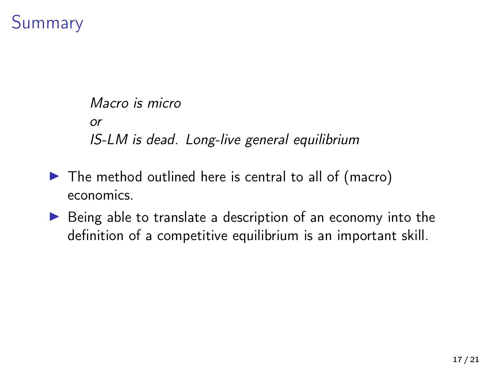## Summary

```
Macro is micro
or
IS-LM is dead. Long-live general equilibrium
```
- $\blacktriangleright$  The method outlined here is central to all of (macro) economics.
- $\triangleright$  Being able to translate a description of an economy into the definition of a competitive equilibrium is an important skill.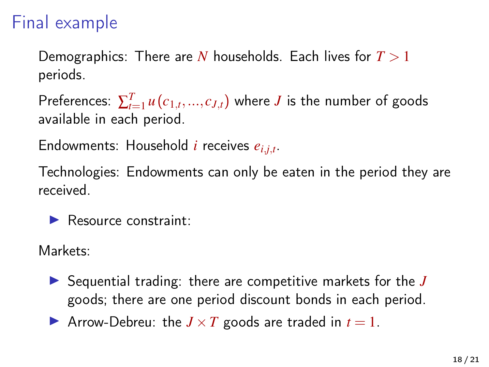## Final example

Demographics: There are *N* households. Each lives for *T* > 1 periods.

Preferences:  $\sum_{t=1}^{T} u(c_{1,t},...,c_{J,t})$  where  $J$  is the number of goods available in each period.

Endowments: Household *i* receives *ei*,*j*,*<sup>t</sup>* .

Technologies: Endowments can only be eaten in the period they are received.

 $\blacktriangleright$  Resource constraint:

Markets:

▶ Sequential trading: there are competitive markets for the *J* goods; there are one period discount bonds in each period.

Arrow-Debreu: the  $J \times T$  goods are traded in  $t = 1$ .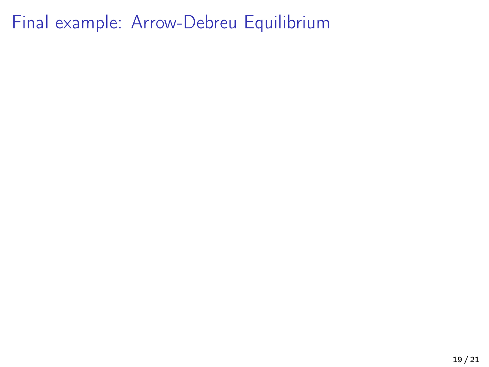Final example: Arrow-Debreu Equilibrium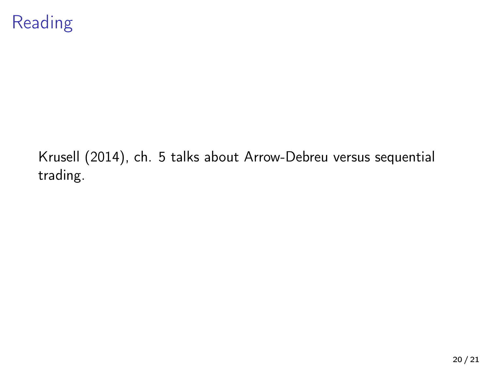

[Krusell \(2014\)](#page-20-0), ch. 5 talks about Arrow-Debreu versus sequential trading.